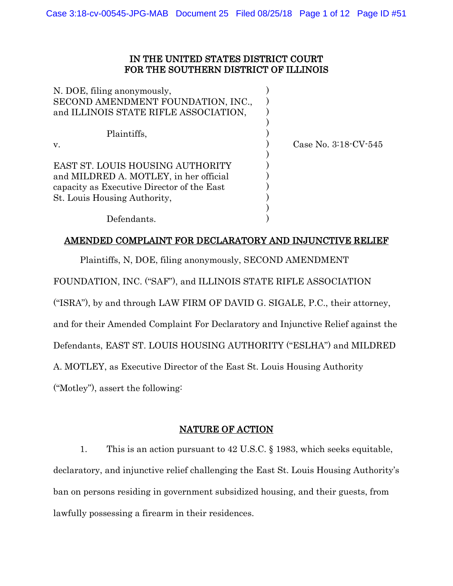# IN THE UNITED STATES DISTRICT COURT FOR THE SOUTHERN DISTRICT OF ILLINOIS

| N. DOE, filing anonymously,<br>SECOND AMENDMENT FOUNDATION, INC.,<br>and ILLINOIS STATE RIFLE ASSOCIATION, |                           |
|------------------------------------------------------------------------------------------------------------|---------------------------|
|                                                                                                            |                           |
| Plaintiffs,                                                                                                |                           |
| V.                                                                                                         | Case No. $3:18$ CV $-545$ |
|                                                                                                            |                           |
| EAST ST. LOUIS HOUSING AUTHORITY                                                                           |                           |
| and MILDRED A. MOTLEY, in her official                                                                     |                           |
| capacity as Executive Director of the East                                                                 |                           |
| St. Louis Housing Authority,                                                                               |                           |
|                                                                                                            |                           |
| Defendants.                                                                                                |                           |

# AMENDED COMPLAINT FOR DECLARATORY AND INJUNCTIVE RELIEF

Plaintiffs, N, DOE, filing anonymously, SECOND AMENDMENT

FOUNDATION, INC. ("SAF"), and ILLINOIS STATE RIFLE ASSOCIATION

("ISRA"), by and through LAW FIRM OF DAVID G. SIGALE, P.C., their attorney,

and for their Amended Complaint For Declaratory and Injunctive Relief against the

Defendants, EAST ST. LOUIS HOUSING AUTHORITY ("ESLHA") and MILDRED

A. MOTLEY, as Executive Director of the East St. Louis Housing Authority

("Motley"), assert the following:

## NATURE OF ACTION

1. This is an action pursuant to 42 U.S.C. § 1983, which seeks equitable, declaratory, and injunctive relief challenging the East St. Louis Housing Authority's ban on persons residing in government subsidized housing, and their guests, from lawfully possessing a firearm in their residences.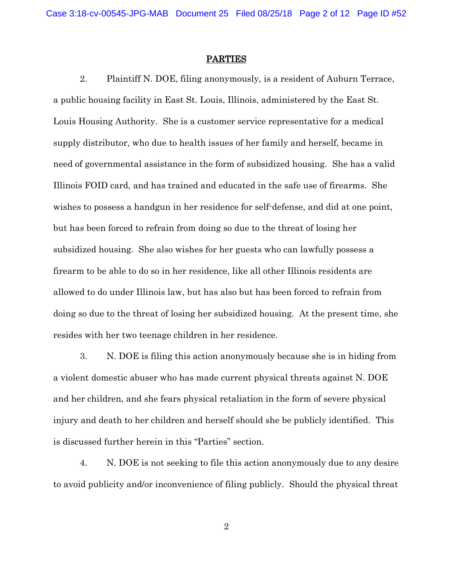#### PARTIES

2. Plaintiff N. DOE, filing anonymously, is a resident of Auburn Terrace, a public housing facility in East St. Louis, Illinois, administered by the East St. Louis Housing Authority. She is a customer service representative for a medical supply distributor, who due to health issues of her family and herself, became in need of governmental assistance in the form of subsidized housing. She has a valid Illinois FOID card, and has trained and educated in the safe use of firearms. She wishes to possess a handgun in her residence for self-defense, and did at one point, but has been forced to refrain from doing so due to the threat of losing her subsidized housing. She also wishes for her guests who can lawfully possess a firearm to be able to do so in her residence, like all other Illinois residents are allowed to do under Illinois law, but has also but has been forced to refrain from doing so due to the threat of losing her subsidized housing. At the present time, she resides with her two teenage children in her residence.

3. N. DOE is filing this action anonymously because she is in hiding from a violent domestic abuser who has made current physical threats against N. DOE and her children, and she fears physical retaliation in the form of severe physical injury and death to her children and herself should she be publicly identified. This is discussed further herein in this "Parties" section.

4. N. DOE is not seeking to file this action anonymously due to any desire to avoid publicity and/or inconvenience of filing publicly. Should the physical threat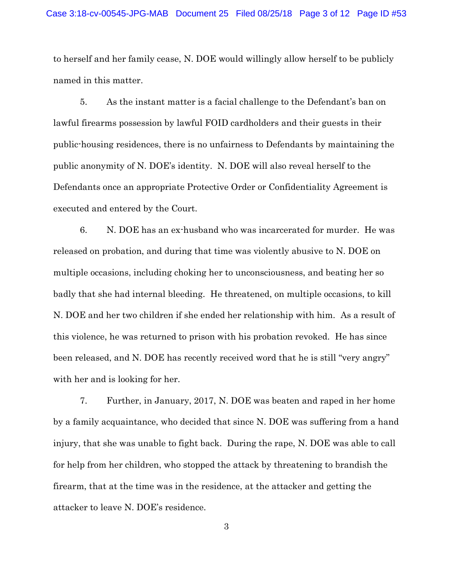to herself and her family cease, N. DOE would willingly allow herself to be publicly named in this matter.

5. As the instant matter is a facial challenge to the Defendant's ban on lawful firearms possession by lawful FOID cardholders and their guests in their public-housing residences, there is no unfairness to Defendants by maintaining the public anonymity of N. DOE's identity. N. DOE will also reveal herself to the Defendants once an appropriate Protective Order or Confidentiality Agreement is executed and entered by the Court.

6. N. DOE has an ex-husband who was incarcerated for murder. He was released on probation, and during that time was violently abusive to N. DOE on multiple occasions, including choking her to unconsciousness, and beating her so badly that she had internal bleeding. He threatened, on multiple occasions, to kill N. DOE and her two children if she ended her relationship with him. As a result of this violence, he was returned to prison with his probation revoked. He has since been released, and N. DOE has recently received word that he is still "very angry" with her and is looking for her.

7. Further, in January, 2017, N. DOE was beaten and raped in her home by a family acquaintance, who decided that since N. DOE was suffering from a hand injury, that she was unable to fight back. During the rape, N. DOE was able to call for help from her children, who stopped the attack by threatening to brandish the firearm, that at the time was in the residence, at the attacker and getting the attacker to leave N. DOE's residence.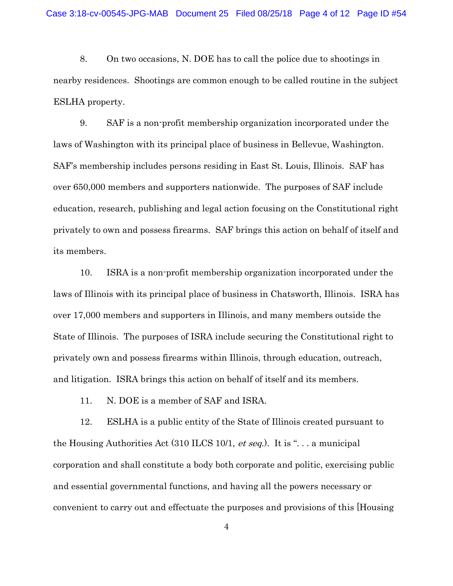8. On two occasions, N. DOE has to call the police due to shootings in nearby residences. Shootings are common enough to be called routine in the subject ESLHA property.

9. SAF is a non-profit membership organization incorporated under the laws of Washington with its principal place of business in Bellevue, Washington. SAF's membership includes persons residing in East St. Louis, Illinois. SAF has over 650,000 members and supporters nationwide. The purposes of SAF include education, research, publishing and legal action focusing on the Constitutional right privately to own and possess firearms. SAF brings this action on behalf of itself and its members.

10. ISRA is a non-profit membership organization incorporated under the laws of Illinois with its principal place of business in Chatsworth, Illinois. ISRA has over 17,000 members and supporters in Illinois, and many members outside the State of Illinois. The purposes of ISRA include securing the Constitutional right to privately own and possess firearms within Illinois, through education, outreach, and litigation. ISRA brings this action on behalf of itself and its members.

11. N. DOE is a member of SAF and ISRA.

12. ESLHA is a public entity of the State of Illinois created pursuant to the Housing Authorities Act  $(310$  ILCS 10/1, *et seq.*). It is "... a municipal corporation and shall constitute a body both corporate and politic, exercising public and essential governmental functions, and having all the powers necessary or convenient to carry out and effectuate the purposes and provisions of this [Housing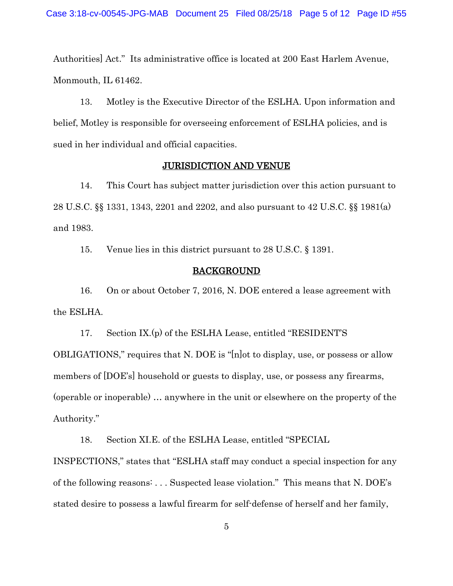Authorities] Act." Its administrative office is located at 200 East Harlem Avenue, Monmouth, IL 61462.

13. Motley is the Executive Director of the ESLHA. Upon information and belief, Motley is responsible for overseeing enforcement of ESLHA policies, and is sued in her individual and official capacities.

## JURISDICTION AND VENUE

14. This Court has subject matter jurisdiction over this action pursuant to 28 U.S.C. §§ 1331, 1343, 2201 and 2202, and also pursuant to 42 U.S.C. §§ 1981(a) and 1983.

15. Venue lies in this district pursuant to 28 U.S.C. § 1391.

#### BACKGROUND

16. On or about October 7, 2016, N. DOE entered a lease agreement with the ESLHA.

17. Section IX.(p) of the ESLHA Lease, entitled "RESIDENT'S

OBLIGATIONS," requires that N. DOE is "[n]ot to display, use, or possess or allow members of [DOE's] household or guests to display, use, or possess any firearms, (operable or inoperable) … anywhere in the unit or elsewhere on the property of the Authority."

18. Section XI.E. of the ESLHA Lease, entitled "SPECIAL

INSPECTIONS," states that "ESLHA staff may conduct a special inspection for any of the following reasons: . . . Suspected lease violation." This means that N. DOE's stated desire to possess a lawful firearm for self-defense of herself and her family,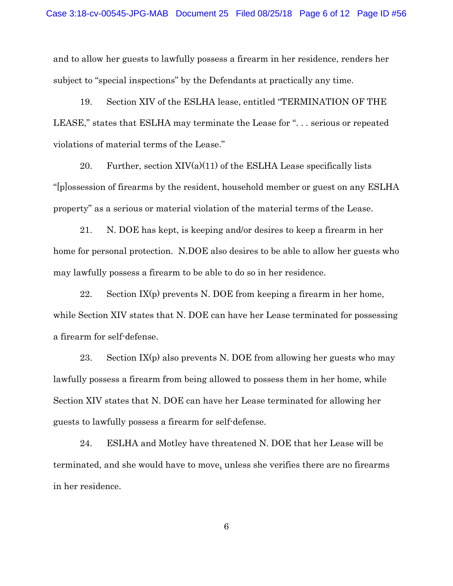and to allow her guests to lawfully possess a firearm in her residence, renders her subject to "special inspections" by the Defendants at practically any time.

19. Section XIV of the ESLHA lease, entitled "TERMINATION OF THE LEASE," states that ESLHA may terminate the Lease for ". . . serious or repeated violations of material terms of the Lease."

20. Further, section  $XIV(a)(11)$  of the ESLHA Lease specifically lists "[p]ossession of firearms by the resident, household member or guest on any ESLHA property" as a serious or material violation of the material terms of the Lease.

21. N. DOE has kept, is keeping and/or desires to keep a firearm in her home for personal protection. N.DOE also desires to be able to allow her guests who may lawfully possess a firearm to be able to do so in her residence.

22. Section  $IX(p)$  prevents N. DOE from keeping a firearm in her home, while Section XIV states that N. DOE can have her Lease terminated for possessing a firearm for self-defense.

23. Section  $IX(p)$  also prevents N. DOE from allowing her guests who may lawfully possess a firearm from being allowed to possess them in her home, while Section XIV states that N. DOE can have her Lease terminated for allowing her guests to lawfully possess a firearm for self-defense.

24. ESLHA and Motley have threatened N. DOE that her Lease will be terminated, and she would have to move, unless she verifies there are no firearms in her residence.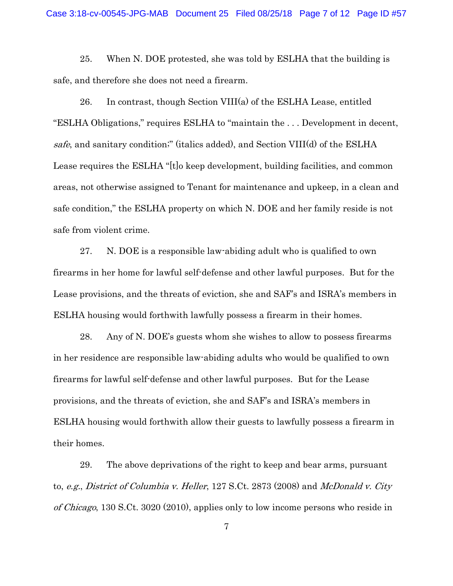25. When N. DOE protested, she was told by ESLHA that the building is safe, and therefore she does not need a firearm.

26. In contrast, though Section VIII(a) of the ESLHA Lease, entitled "ESLHA Obligations," requires ESLHA to "maintain the . . . Development in decent, safe, and sanitary condition;" (italics added), and Section VIII(d) of the ESLHA Lease requires the ESLHA "[t]o keep development, building facilities, and common areas, not otherwise assigned to Tenant for maintenance and upkeep, in a clean and safe condition," the ESLHA property on which N. DOE and her family reside is not safe from violent crime.

27. N. DOE is a responsible law-abiding adult who is qualified to own firearms in her home for lawful self-defense and other lawful purposes. But for the Lease provisions, and the threats of eviction, she and SAF's and ISRA's members in ESLHA housing would forthwith lawfully possess a firearm in their homes.

28. Any of N. DOE's guests whom she wishes to allow to possess firearms in her residence are responsible law-abiding adults who would be qualified to own firearms for lawful self-defense and other lawful purposes. But for the Lease provisions, and the threats of eviction, she and SAF's and ISRA's members in ESLHA housing would forthwith allow their guests to lawfully possess a firearm in their homes.

29. The above deprivations of the right to keep and bear arms, pursuant to, e.g., District of Columbia v. Heller, 127 S.Ct. 2873 (2008) and McDonald v. City of Chicago, 130 S.Ct. 3020 (2010), applies only to low income persons who reside in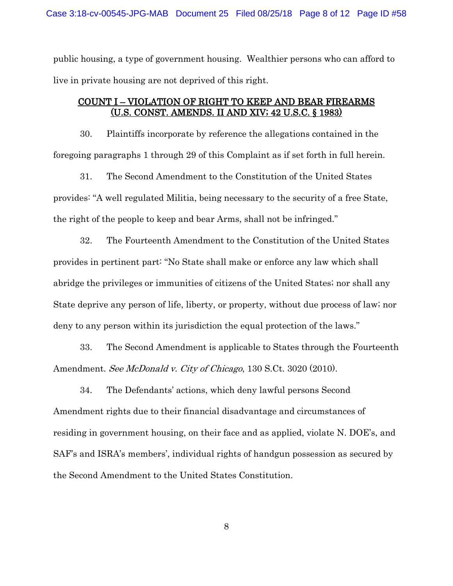public housing, a type of government housing. Wealthier persons who can afford to live in private housing are not deprived of this right.

## COUNT I – VIOLATION OF RIGHT TO KEEP AND BEAR FIREARMS (U.S. CONST. AMENDS. II AND XIV; 42 U.S.C. § 1983)

30. Plaintiffs incorporate by reference the allegations contained in the foregoing paragraphs 1 through 29 of this Complaint as if set forth in full herein.

31. The Second Amendment to the Constitution of the United States provides: "A well regulated Militia, being necessary to the security of a free State, the right of the people to keep and bear Arms, shall not be infringed."

32. The Fourteenth Amendment to the Constitution of the United States provides in pertinent part: "No State shall make or enforce any law which shall abridge the privileges or immunities of citizens of the United States; nor shall any State deprive any person of life, liberty, or property, without due process of law; nor deny to any person within its jurisdiction the equal protection of the laws."

33. The Second Amendment is applicable to States through the Fourteenth Amendment. See McDonald v. City of Chicago, 130 S.Ct. 3020 (2010).

34. The Defendants' actions, which deny lawful persons Second Amendment rights due to their financial disadvantage and circumstances of residing in government housing, on their face and as applied, violate N. DOE's, and SAF's and ISRA's members', individual rights of handgun possession as secured by the Second Amendment to the United States Constitution.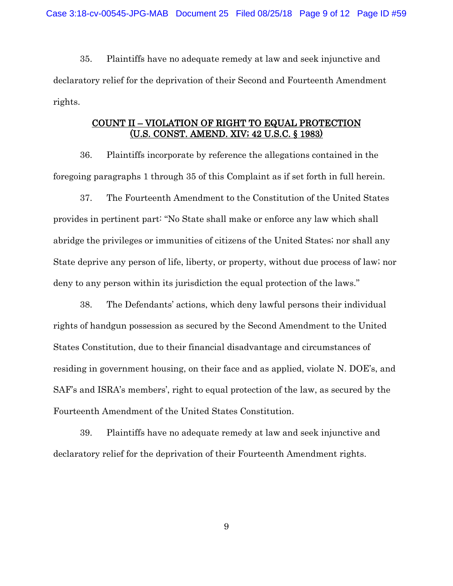35. Plaintiffs have no adequate remedy at law and seek injunctive and declaratory relief for the deprivation of their Second and Fourteenth Amendment rights.

# COUNT II – VIOLATION OF RIGHT TO EQUAL PROTECTION (U.S. CONST. AMEND. XIV; 42 U.S.C. § 1983)

36. Plaintiffs incorporate by reference the allegations contained in the foregoing paragraphs 1 through 35 of this Complaint as if set forth in full herein.

37. The Fourteenth Amendment to the Constitution of the United States provides in pertinent part: "No State shall make or enforce any law which shall abridge the privileges or immunities of citizens of the United States; nor shall any State deprive any person of life, liberty, or property, without due process of law; nor deny to any person within its jurisdiction the equal protection of the laws."

38. The Defendants' actions, which deny lawful persons their individual rights of handgun possession as secured by the Second Amendment to the United States Constitution, due to their financial disadvantage and circumstances of residing in government housing, on their face and as applied, violate N. DOE's, and SAF's and ISRA's members', right to equal protection of the law, as secured by the Fourteenth Amendment of the United States Constitution.

39. Plaintiffs have no adequate remedy at law and seek injunctive and declaratory relief for the deprivation of their Fourteenth Amendment rights.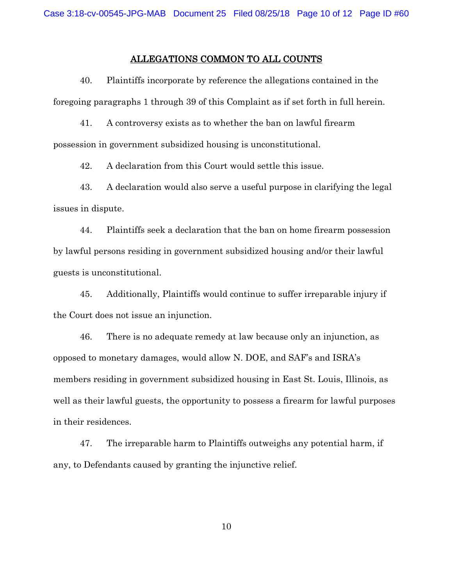### ALLEGATIONS COMMON TO ALL COUNTS

40. Plaintiffs incorporate by reference the allegations contained in the foregoing paragraphs 1 through 39 of this Complaint as if set forth in full herein.

41. A controversy exists as to whether the ban on lawful firearm possession in government subsidized housing is unconstitutional.

42. A declaration from this Court would settle this issue.

43. A declaration would also serve a useful purpose in clarifying the legal issues in dispute.

44. Plaintiffs seek a declaration that the ban on home firearm possession by lawful persons residing in government subsidized housing and/or their lawful guests is unconstitutional.

45. Additionally, Plaintiffs would continue to suffer irreparable injury if the Court does not issue an injunction.

46. There is no adequate remedy at law because only an injunction, as opposed to monetary damages, would allow N. DOE, and SAF's and ISRA's members residing in government subsidized housing in East St. Louis, Illinois, as well as their lawful guests, the opportunity to possess a firearm for lawful purposes in their residences.

47. The irreparable harm to Plaintiffs outweighs any potential harm, if any, to Defendants caused by granting the injunctive relief.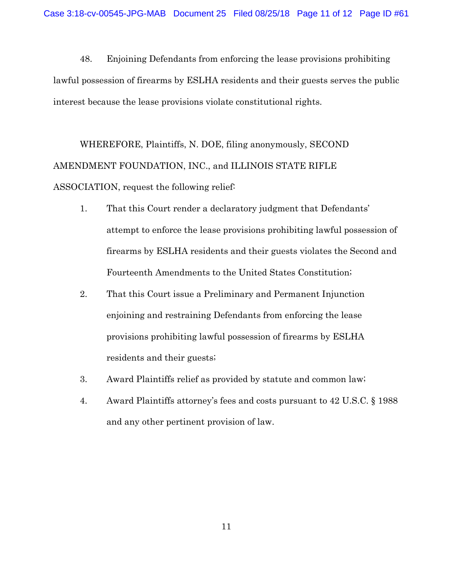48. Enjoining Defendants from enforcing the lease provisions prohibiting lawful possession of firearms by ESLHA residents and their guests serves the public interest because the lease provisions violate constitutional rights.

WHEREFORE, Plaintiffs, N. DOE, filing anonymously, SECOND AMENDMENT FOUNDATION, INC., and ILLINOIS STATE RIFLE ASSOCIATION, request the following relief:

- 1. That this Court render a declaratory judgment that Defendants' attempt to enforce the lease provisions prohibiting lawful possession of firearms by ESLHA residents and their guests violates the Second and Fourteenth Amendments to the United States Constitution;
- 2. That this Court issue a Preliminary and Permanent Injunction enjoining and restraining Defendants from enforcing the lease provisions prohibiting lawful possession of firearms by ESLHA residents and their guests;
- 3. Award Plaintiffs relief as provided by statute and common law;
- 4. Award Plaintiffs attorney's fees and costs pursuant to 42 U.S.C. § 1988 and any other pertinent provision of law.